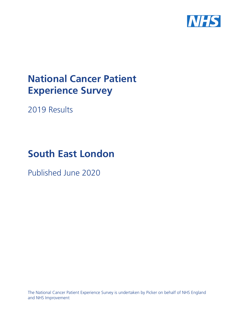

# **National Cancer Patient Experience Survey**

2019 Results

# **South East London**

Published June 2020

The National Cancer Patient Experience Survey is undertaken by Picker on behalf of NHS England and NHS Improvement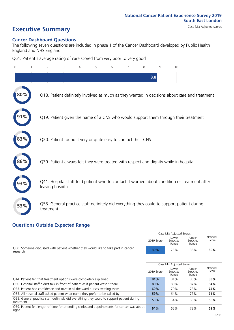# **Executive Summary** Case Mix Adjusted scores

#### **Cancer Dashboard Questions**

The following seven questions are included in phase 1 of the Cancer Dashboard developed by Public Health England and NHS England:

Q61. Patient's average rating of care scored from very poor to very good

| $\mathbf{0}$ | 2                                                             | 3 | 4 | 5 | 6 | 8   | 9 | 10                                                                                            |  |
|--------------|---------------------------------------------------------------|---|---|---|---|-----|---|-----------------------------------------------------------------------------------------------|--|
|              |                                                               |   |   |   |   | 8.8 |   |                                                                                               |  |
| 80%          |                                                               |   |   |   |   |     |   | Q18. Patient definitely involved as much as they wanted in decisions about care and treatment |  |
|              |                                                               |   |   |   |   |     |   | Q19. Patient given the name of a CNS who would support them through their treatment           |  |
| 83%          | Q20. Patient found it very or quite easy to contact their CNS |   |   |   |   |     |   |                                                                                               |  |
| 86%          |                                                               |   |   |   |   |     |   | Q39. Patient always felt they were treated with respect and dignity while in hospital         |  |
|              | leaving hospital                                              |   |   |   |   |     |   | Q41. Hospital staff told patient who to contact if worried about condition or treatment after |  |
| 53%          | treatment                                                     |   |   |   |   |     |   | Q55. General practice staff definitely did everything they could to support patient during    |  |

#### **Questions Outside Expected Range**

|                                                                                                |            | Case Mix Adjusted Scores   |                            |                   |
|------------------------------------------------------------------------------------------------|------------|----------------------------|----------------------------|-------------------|
|                                                                                                | 2019 Score | Lower<br>Expected<br>Range | Upper<br>Expected<br>Range | National<br>Score |
| O60. Someone discussed with patient whether they would like to take part in cancer<br>research | 39%        | 23%                        | 38%                        | 30%               |

|                                                                                                         |            | Case Mix Adjusted Scores   |                            |                   |
|---------------------------------------------------------------------------------------------------------|------------|----------------------------|----------------------------|-------------------|
|                                                                                                         | 2019 Score | Lower<br>Expected<br>Range | Upper<br>Expected<br>Range | National<br>Score |
| Q14. Patient felt that treatment options were completely explained                                      | 81%        | 81%                        | 85%                        | 83%               |
| Q30. Hospital staff didn't talk in front of patient as if patient wasn't there                          | 80%        | 80%                        | 87%                        | 84%               |
| Q33. Patient had confidence and trust in all the ward nurses treating them                              | 69%        | 70%                        | 78%                        | 74%               |
| Q35. All hospital staff asked patient what name they prefer to be called by                             | 59%        | 64%                        | 77%                        | 71%               |
| Q55. General practice staff definitely did everything they could to support patient during<br>treatment | 53%        | 54%                        | 63%                        | 58%               |
| O59. Patient felt length of time for attending clinics and appointments for cancer was about<br>right   | 64%        | 65%                        | 73%                        | 69%               |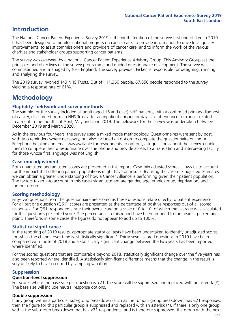### **Introduction**

The National Cancer Patient Experience Survey 2019 is the ninth iteration of the survey first undertaken in 2010. It has been designed to monitor national progress on cancer care; to provide information to drive local quality improvements; to assist commissioners and providers of cancer care; and to inform the work of the various charities and stakeholder groups supporting cancer patients.

The survey was overseen by a national Cancer Patient Experience Advisory Group. This Advisory Group set the principles and objectives of the survey programme and guided questionnaire development. The survey was commissioned and managed by NHS England. The survey provider, Picker, is responsible for designing, running and analysing the survey.

The 2019 survey involved 143 NHS Trusts. Out of 111,366 people, 67,858 people responded to the survey, yielding a response rate of 61%.

### **Methodology**

#### **Eligibility, fieldwork and survey methods**

The sample for the survey included all adult (aged 16 and over) NHS patients, with a confirmed primary diagnosis of cancer, discharged from an NHS Trust after an inpatient episode or day case attendance for cancer related treatment in the months of April, May and June 2019. The fieldwork for the survey was undertaken between December 2019 and March 2020.

As in the previous four years, the survey used a mixed mode methodology. Questionnaires were sent by post, with two reminders where necessary, but also included an option to complete the questionnaire online. A Freephone helpline and email was available for respondents to opt out, ask questions about the survey, enable them to complete their questionnaire over the phone and provide access to a translation and interpreting facility for those whose first language was not English.

#### **Case-mix adjustment**

Both unadjusted and adjusted scores are presented in this report. Case-mix adjusted scores allows us to account for the impact that differing patient populations might have on results. By using the case-mix adjusted estimates we can obtain a greater understanding of how a Cancer Alliance is performing given their patient population. The factors taken into account in this case-mix adjustment are gender, age, ethnic group, deprivation, and tumour group.

#### **Scoring methodology**

Fifty-two questions from the questionnaire are scored as these questions relate directly to patient experience. For all but one question (Q61), scores are presented as the percentage of positive responses out of all scored responses. For Q61, respondents rate their overall care on a scale of 0 to 10, of which the average was calculated for this question's presented score. The percentages in this report have been rounded to the nearest percentage point. Therefore, in some cases the figures do not appear to add up to 100%.

#### **Statistical significance**

In the reporting of 2019 results, appropriate statistical tests have been undertaken to identify unadjusted scores for which the change over time is 'statistically significant'. Thirty-seven scored questions in 2019 have been compared with those of 2018 and a statistically significant change between the two years has been reported where identified.

For the scored questions that are comparable beyond 2018, statistically significant change over the five years has also been reported where identified. A statistically significant difference means that the change in the result is very unlikely to have occurred by sampling variation.

#### **Suppression**

#### **Question-level suppression**

For scores where the base size per question is  $<$ 21, the score will be suppressed and replaced with an asterisk (\*). The base size will include neutral response options.

#### **Double suppression**

If any group within a particular sub-group breakdown (such as the tumour group breakdown) has <21 responses, then the figure for this particular group is suppressed and replaced with an asterisk (\*). If there is only one group within the sub-group breakdown that has <21 respondents, and is therefore suppressed, the group with the next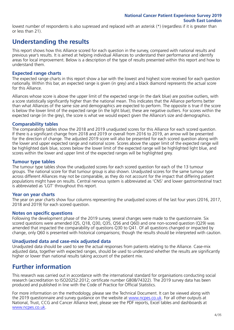lowest number of respondents is also supressed and replaced with an asterisk (\*) (regardless if it is greater than or less than 21).

### **Understanding the results**

This report shows how this Alliance scored for each question in the survey, compared with national results and previous year's results. It is aimed at helping individual Alliances to understand their performance and identify areas for local improvement. Below is a description of the type of results presented within this report and how to understand them.

#### **Expected range charts**

The expected range charts in this report show a bar with the lowest and highest score received for each question nationally. Within this bar, an expected range is given (in grey) and a black diamond represents the actual score for this Alliance.

Alliances whose score is above the upper limit of the expected range (in the dark blue) are positive outliers, with a score statistically significantly higher than the national mean. This indicates that the Alliance performs better than what Alliances of the same size and demographics are expected to perform. The opposite is true if the score is below the lower limit of the expected range (in the light blue); these are negative outliers. For scores within the expected range (in the grey), the score is what we would expect given the Alliance's size and demographics.

#### **Comparability tables**

The comparability tables show the 2018 and 2019 unadjusted scores for this Alliance for each scored question. If there is a significant change from 2018 and 2019 or overall from 2016 to 2019, an arrow will be presented for the direction of change. The adjusted 2019 score will also be presented for each scored question along with the lower and upper expected range and national score. Scores above the upper limit of the expected range will be highlighted dark blue, scores below the lower limit of the expected range will be highlighted light blue, and scores within the lower and upper limit of the expected ranges will be highlighted grey.

#### **Tumour type tables**

The tumour type tables show the unadjusted scores for each scored question for each of the 13 tumour groups. The national score for that tumour group is also shown. Unadjusted scores for the same tumour type across different Alliances may not be comparable, as they do not account for the impact that differing patient populations might have on results. Central nervous system is abbreviated as 'CNS' and lower gastrointestinal tract is abbreviated as 'LGT' throughout this report.

#### **Year on year charts**

The year on year charts show four columns representing the unadjusted scores of the last four years (2016, 2017, 2018 and 2019) for each scored question.

#### **Notes on specific questions**

Following the development phase of the 2019 survey, several changes were made to the questionnaire. Six scored questions were amended (Q5, Q18, Q30, Q35, Q56 and Q60) and one non-scored question (Q29) was amended that impacted the comparability of questions Q30 to Q41. Of all questions changed or impacted by change, only Q60 is presented with historical comparisons; though the results should be interpreted with caution.

#### **Unadjusted data and case-mix adjusted data**

Unadjusted data should be used to see the actual responses from patients relating to the Alliance. Case-mix adjusted data, together with expected ranges, should be used to understand whether the results are significantly higher or lower than national results taking account of the patient mix.

### **Further information**

This research was carried out in accordance with the international standard for organisations conducting social research (accreditation to ISO20252:2012; certificate number GB08/74322). The 2019 survey data has been produced and published in line with the Code of Practice for Official Statistics.

For more information on the methodology, please see the Technical Document. It can be viewed along with the 2019 questionnaire and survey guidance on the website at [www.ncpes.co.uk](https://www.ncpes.co.uk/supporting-documents). For all other outputs at National, Trust, CCG and Cancer Alliance level, please see the PDF reports, Excel tables and dashboards at [www.ncpes.co.uk.](https://www.ncpes.co.uk/current-results)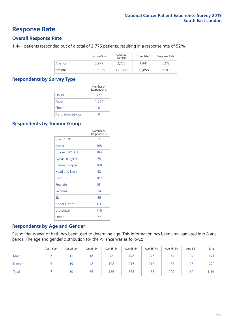### **Response Rate**

#### **Overall Response Rate**

1,441 patients responded out of a total of 2,775 patients, resulting in a response rate of 52%.

|          | Sample Size | Adjusted<br>Sample | Completed | Response Rate |
|----------|-------------|--------------------|-----------|---------------|
| Alliance | 2.979       | 2,775              | 1.441     | 52%           |
| National | 119.855     | 111.366            | 67,858    | 61%           |

#### **Respondents by Survey Type**

|                            | Number of<br>Respondents |
|----------------------------|--------------------------|
| Online                     | 177                      |
| Paper                      | 1,264                    |
| Phone                      | O                        |
| <b>Translation Service</b> |                          |

#### **Respondents by Tumour Group**

|                      | Number of<br>Respondents |
|----------------------|--------------------------|
| Brain / CNS          | 7                        |
| <b>Breast</b>        | 365                      |
| Colorectal / LGT     | 184                      |
| Gynaecological       | 75                       |
| Haematological       | 160                      |
| <b>Head and Neck</b> | 42                       |
| Lung                 | 107                      |
| Prostate             | 191                      |
| Sarcoma              | 14                       |
| Skin                 | 46                       |
| Upper Gastro         | 63                       |
| Urological           | 110                      |
| Other                | 77                       |

#### **Respondents by Age and Gender**

Respondents year of birth has been used to determine age. This information has been amalgamated into 8 age bands. The age and gender distribution for the Alliance was as follows:

|        | Age 16-24 | Age 25-34 | Age 35-44 | Age 45-54 | Age 55-64 | Age 65-74 | Age 75-84 | Age $85+$ | Total |
|--------|-----------|-----------|-----------|-----------|-----------|-----------|-----------|-----------|-------|
| Male   |           |           | 18        | 48        | 148       | 246       | 164       | 34        | 671   |
| Female |           | 19        | 48        | 108       | 217       | 212       | 135       | 26        | 770   |
| Total  |           | 30        | 66        | 156       | 365       | 458       | 299       | 60        | .441  |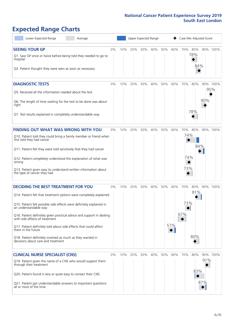# **Expected Range Charts**

| Lower Expected Range                                                                                    | Average |       |     | Upper Expected Range |     |     |     |     | Case Mix Adjusted Score |     |     |          |
|---------------------------------------------------------------------------------------------------------|---------|-------|-----|----------------------|-----|-----|-----|-----|-------------------------|-----|-----|----------|
| <b>SEEING YOUR GP</b>                                                                                   |         | $0\%$ | 10% | 20%                  | 30% | 40% | 50% | 60% | 70%                     | 80% |     | 90% 100% |
| Q1. Saw GP once or twice before being told they needed to go to<br>hospital                             |         |       |     |                      |     |     |     |     |                         | 78% |     |          |
| Q2. Patient thought they were seen as soon as necessary                                                 |         |       |     |                      |     |     |     |     |                         | 84% |     |          |
| <b>DIAGNOSTIC TESTS</b>                                                                                 |         | 0%    | 10% | 20%                  | 30% | 40% | 50% | 60% | 70%                     | 80% |     | 90% 100% |
| Q5. Received all the information needed about the test                                                  |         |       |     |                      |     |     |     |     |                         |     |     | 95%      |
| Q6. The length of time waiting for the test to be done was about<br>right                               |         |       |     |                      |     |     |     |     |                         |     | 90% |          |
| Q7. Test results explained in completely understandable way                                             |         |       |     |                      |     |     |     |     |                         | 78% |     |          |
| <b>FINDING OUT WHAT WAS WRONG WITH YOU</b>                                                              |         | $0\%$ | 10% | 20%                  | 30% | 40% | 50% | 60% | 70%                     | 80% |     | 90% 100% |
| Q10. Patient told they could bring a family member or friend when<br>first told they had cancer         |         |       |     |                      |     |     |     |     | 74%                     |     |     |          |
| Q11. Patient felt they were told sensitively that they had cancer                                       |         |       |     |                      |     |     |     |     |                         | 84% |     |          |
| Q12. Patient completely understood the explanation of what was<br>wrong                                 |         |       |     |                      |     |     |     |     | 74%                     |     |     |          |
| Q13. Patient given easy to understand written information about<br>the type of cancer they had          |         |       |     |                      |     |     |     |     | 73%                     |     |     |          |
| <b>DECIDING THE BEST TREATMENT FOR YOU</b>                                                              |         | 0%    | 10% | 20%                  | 30% | 40% | 50% | 60% | 70%                     | 80% |     | 90% 100% |
| Q14. Patient felt that treatment options were completely explained                                      |         |       |     |                      |     |     |     |     |                         | 81% |     |          |
| Q15. Patient felt possible side effects were definitely explained in<br>an understandable way           |         |       |     |                      |     |     |     |     | 73%                     |     |     |          |
| Q16. Patient definitely given practical advice and support in dealing<br>with side effects of treatment |         |       |     |                      |     |     |     |     | 67%                     |     |     |          |
| Q17. Patient definitely told about side effects that could affect<br>them in the future                 |         |       |     |                      |     |     |     | 57% |                         |     |     |          |
| Q18. Patient definitely involved as much as they wanted in<br>decisions about care and treatment        |         |       |     |                      |     |     |     |     |                         | 80% |     |          |
| <b>CLINICAL NURSE SPECIALIST (CNS)</b>                                                                  |         | 0%    | 10% | 20%                  | 30% | 40% | 50% | 60% | 70%                     | 80% |     | 90% 100% |
| Q19. Patient given the name of a CNS who would support them<br>through their treatment                  |         |       |     |                      |     |     |     |     |                         |     | 91% |          |
| Q20. Patient found it very or quite easy to contact their CNS                                           |         |       |     |                      |     |     |     |     |                         | 83% |     |          |
| Q21. Patient got understandable answers to important questions<br>all or most of the time               |         |       |     |                      |     |     |     |     |                         |     | 87% |          |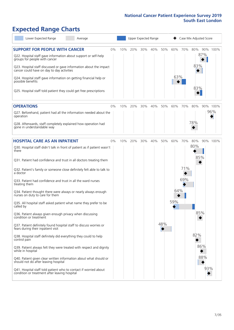# **Expected Range Charts**

| Lower Expected Range<br>Average                                                                                                           |    |     |     |     | Upper Expected Range |     |     |     | Case Mix Adjusted Score |          |
|-------------------------------------------------------------------------------------------------------------------------------------------|----|-----|-----|-----|----------------------|-----|-----|-----|-------------------------|----------|
| <b>SUPPORT FOR PEOPLE WITH CANCER</b><br>Q22. Hospital staff gave information about support or self-help<br>groups for people with cancer | 0% | 10% | 20% | 30% | 40%                  | 50% | 60% | 70% | 80%<br>87%              | 90% 100% |
| Q23. Hospital staff discussed or gave information about the impact<br>cancer could have on day to day activities                          |    |     |     |     |                      |     |     |     | 83%                     |          |
| Q24. Hospital staff gave information on getting financial help or<br>possible benefits                                                    |    |     |     |     |                      |     | 63% |     |                         |          |
| Q25. Hospital staff told patient they could get free prescriptions                                                                        |    |     |     |     |                      |     |     |     | 83%                     |          |
| <b>OPERATIONS</b>                                                                                                                         | 0% | 10% | 20% | 30% | 40%                  | 50% | 60% | 70% | 80%                     | 90% 100% |
| Q27. Beforehand, patient had all the information needed about the<br>operation                                                            |    |     |     |     |                      |     |     |     |                         | 96%      |
| Q28. Afterwards, staff completely explained how operation had<br>gone in understandable way                                               |    |     |     |     |                      |     |     |     | 78%                     |          |
| <b>HOSPITAL CARE AS AN INPATIENT</b>                                                                                                      | 0% | 10% | 20% | 30% | 40%                  | 50% | 60% | 70% | 80%                     | 90% 100% |
| Q30. Hospital staff didn't talk in front of patient as if patient wasn't<br>there                                                         |    |     |     |     |                      |     |     |     | 80%                     |          |
| Q31. Patient had confidence and trust in all doctors treating them                                                                        |    |     |     |     |                      |     |     |     | 85%                     |          |
| Q32. Patient's family or someone close definitely felt able to talk to<br>a doctor                                                        |    |     |     |     |                      |     |     | 71% |                         |          |
| Q33. Patient had confidence and trust in all the ward nurses<br>treating them                                                             |    |     |     |     |                      |     |     | 69% |                         |          |
| Q34. Patient thought there were always or nearly always enough<br>nurses on duty to care for them                                         |    |     |     |     |                      |     | 64% |     |                         |          |
| Q35. All hospital staff asked patient what name they prefer to be<br>called by                                                            |    |     |     |     |                      |     | 59% |     |                         |          |
| Q36. Patient always given enough privacy when discussing<br>condition or treatment                                                        |    |     |     |     |                      |     |     |     | 85%                     |          |
| Q37. Patient definitely found hospital staff to discuss worries or<br>fears during their inpatient visit                                  |    |     |     |     |                      | 48% |     |     |                         |          |
| Q38. Hospital staff definitely did everything they could to help<br>control pain                                                          |    |     |     |     |                      |     |     |     | 82%                     |          |
| Q39. Patient always felt they were treated with respect and dignity<br>while in hospital                                                  |    |     |     |     |                      |     |     |     | 86%                     |          |
| Q40. Patient given clear written information about what should or<br>should not do after leaving hospital                                 |    |     |     |     |                      |     |     |     | 88%                     |          |
| Q41. Hospital staff told patient who to contact if worried about<br>condition or treatment after leaving hospital                         |    |     |     |     |                      |     |     |     |                         | 93%      |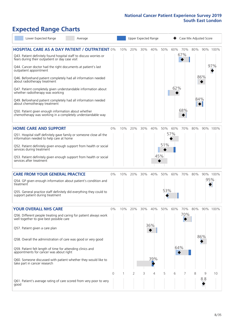# **Expected Range Charts**

|           | Lower Expected Range                                                                                                  | Average |    |     |         |     | Upper Expected Range |     |     | Case Mix Adjusted Score |     |     |          |
|-----------|-----------------------------------------------------------------------------------------------------------------------|---------|----|-----|---------|-----|----------------------|-----|-----|-------------------------|-----|-----|----------|
|           | <b>HOSPITAL CARE AS A DAY PATIENT / OUTPATIENT 0%</b>                                                                 |         |    | 10% | 20%     | 30% | 40%                  | 50% | 60% | 70%                     | 80% |     | 90% 100% |
|           | Q43. Patient definitely found hospital staff to discuss worries or<br>fears during their outpatient or day case visit |         |    |     |         |     |                      |     |     | 67%                     |     |     |          |
|           | Q44. Cancer doctor had the right documents at patient's last<br>outpatient appointment                                |         |    |     |         |     |                      |     |     |                         |     |     | 97%      |
|           | Q46. Beforehand patient completely had all information needed<br>about radiotherapy treatment                         |         |    |     |         |     |                      |     |     |                         |     | 86% |          |
|           | Q47. Patient completely given understandable information about<br>whether radiotherapy was working                    |         |    |     |         |     |                      |     | 62% |                         |     |     |          |
|           | Q49. Beforehand patient completely had all information needed<br>about chemotherapy treatment                         |         |    |     |         |     |                      |     |     |                         | 84% |     |          |
|           | Q50. Patient given enough information about whether<br>chemotherapy was working in a completely understandable way    |         |    |     |         |     |                      |     |     | 68%                     |     |     |          |
|           | <b>HOME CARE AND SUPPORT</b>                                                                                          |         | 0% |     | 10% 20% | 30% | 40%                  | 50% |     | 60% 70%                 | 80% |     | 90% 100% |
|           | Q51. Hospital staff definitely gave family or someone close all the<br>information needed to help care at home        |         |    |     |         |     |                      |     | 57% |                         |     |     |          |
|           | Q52. Patient definitely given enough support from health or social<br>services during treatment                       |         |    |     |         |     |                      | 51% |     |                         |     |     |          |
|           | Q53. Patient definitely given enough support from health or social<br>services after treatment                        |         |    |     |         |     |                      | 45% |     |                         |     |     |          |
|           | <b>CARE FROM YOUR GENERAL PRACTICE</b>                                                                                |         | 0% | 10% | 20%     | 30% | 40%                  | 50% | 60% | 70%                     | 80% |     | 90% 100% |
| treatment | Q54. GP given enough information about patient's condition and                                                        |         |    |     |         |     |                      |     |     |                         |     | 95% |          |
|           | Q55. General practice staff definitely did everything they could to<br>support patient during treatment               |         |    |     |         |     |                      | 53% |     |                         |     |     |          |
|           | <b>YOUR OVERALL NHS CARE</b>                                                                                          |         | 0% | 10% | 20%     | 30% | 40%                  | 50% | 60% | 70%                     | 80% |     | 90% 100% |
|           | Q56. Different people treating and caring for patient always work<br>well together to give best possible care         |         |    |     |         |     |                      |     |     | 70%                     |     |     |          |
|           | Q57. Patient given a care plan                                                                                        |         |    |     |         |     | 36%                  |     |     |                         |     |     |          |
|           | Q58. Overall the administration of care was good or very good                                                         |         |    |     |         |     |                      |     |     |                         |     | 86% |          |
|           | Q59. Patient felt length of time for attending clinics and<br>appointments for cancer was about right                 |         |    |     |         |     |                      |     | 64% |                         |     |     |          |
|           | Q60. Someone discussed with patient whether they would like to<br>take part in cancer research                        |         |    |     |         |     | 39%                  |     |     |                         |     |     |          |
|           |                                                                                                                       |         | 0  |     | 2       | 3   | 4                    | 5   | 6   |                         | 8   | 9   | 10       |
| good      | Q61. Patient's average rating of care scored from very poor to very                                                   |         |    |     |         |     |                      |     |     |                         |     | 8.8 |          |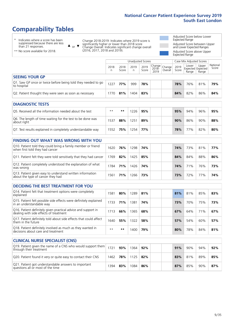## **Comparability Tables**

\* Indicates where a score has been suppressed because there are less than 21 responses.

\*\* No score available for 2018.

or  $\blacktriangledown$  $\blacktriangle$ 

Change 2018-2019: Indicates where 2019 score is significantly higher or lower than 2018 score Change Overall: Indicates significant change overall (2016, 2017, 2018 and 2019).

Adjusted Score below Lower Expected Range Adjusted Score between Upper and Lower Expected Ranges Adjusted Score above Upper

Expected Range

Unadjusted Scores **Case Mix Adjusted Scores** 2018 n 2018 **Score** 2019 n 2019 **Score** Change 2018- 2019 Change Overall 2019 **Score** Lower Expected Range Upper Expected Range National Score **SEEING YOUR GP** Q1. Saw GP once or twice before being told they needed to go to hospital <sup>1227</sup> **77%** <sup>999</sup> **78% 78%** 76% 81% **79%** Q2. Patient thought they were seen as soon as necessary 1770 **81%** 1404 **83% 84%** 82% 86% **84%**

| <b>DIAGNOSTIC TESTS</b>                                                   |       |     |     |     |  |     |     |     |     |
|---------------------------------------------------------------------------|-------|-----|-----|-----|--|-----|-----|-----|-----|
| O5. Received all the information needed about the test                    | $***$ | **  | 226 | 95% |  | 95% | 94% | 96% | 95% |
| Q6. The length of time waiting for the test to be done was<br>about right | 1537  | 88% | 251 | 89% |  | 90% | 86% | 90% | 88% |
| Q7. Test results explained in completely understandable way               | 1552  | 75% | 254 | 77% |  | 78% | 77% | 82% | 80% |

| <b>FINDING OUT WHAT WAS WRONG WITH YOU</b>                                                      |      |     |      |     |     |     |     |     |
|-------------------------------------------------------------------------------------------------|------|-----|------|-----|-----|-----|-----|-----|
| Q10. Patient told they could bring a family member or friend<br>when first told they had cancer | 1620 | 76% | 1298 | 74% | 74% | 73% | 81% | 77% |
| Q11. Patient felt they were told sensitively that they had cancer                               | 1769 | 82% | 1425 | 85% | 84% | 84% | 88% | 86% |
| Q12. Patient completely understood the explanation of what<br>was wrong                         | 1784 | 71% | 1426 | 74% | 74% | 71% | 76% | 73% |
| Q13. Patient given easy to understand written information<br>about the type of cancer they had  | 1561 | 71% | 1266 | 73% | 73% | 72% | 77% | 74% |

| <b>DECIDING THE BEST TREATMENT FOR YOU</b>                                                              |      |     |      |     |     |     |     |     |
|---------------------------------------------------------------------------------------------------------|------|-----|------|-----|-----|-----|-----|-----|
| Q14. Patient felt that treatment options were completely<br>explained                                   | 581  | 80% | 1289 | 81% | 81% | 81% | 85% | 83% |
| Q15. Patient felt possible side effects were definitely explained<br>in an understandable way           | 1733 | 71% | 1381 | 74% | 73% | 70% | 75% | 73% |
| Q16. Patient definitely given practical advice and support in<br>dealing with side effects of treatment | 1713 | 66% | 1365 | 68% | 67% | 64% | 71% | 67% |
| Q17. Patient definitely told about side effects that could affect<br>them in the future                 | 1640 | 55% | 1322 | 58% | 57% | 54% | 60% | 57% |
| Q18. Patient definitely involved as much as they wanted in<br>decisions about care and treatment        | $**$ | **  | 1400 | 79% | 80% | 78% | 84% | 81% |

| <b>CLINICAL NURSE SPECIALIST (CNS)</b>                                                              |      |     |      |     |     |     |     |     |
|-----------------------------------------------------------------------------------------------------|------|-----|------|-----|-----|-----|-----|-----|
| $ Q19$ . Patient given the name of a CNS who would support them $ 1721 $<br>through their treatment |      | 93% | 1364 | 92% | 91% | 90% | 94% | 92% |
| Q20. Patient found it very or quite easy to contact their CNS                                       | 1462 | 78% | 1125 | 82% | 83% | 81% | 89% | 85% |
| Q21. Patient got understandable answers to important<br>questions all or most of the time           | 394  | 83% | 1084 | 86% | 87% | 85% | 90% | 87% |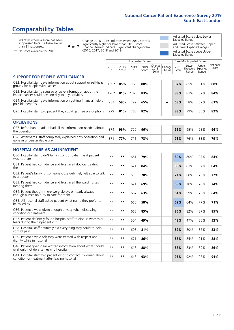## **Comparability Tables**

\* Indicates where a score has been suppressed because there are less than 21 responses.

\*\* No score available for 2018.

 $\triangle$  or  $\nabla$ 

Change 2018-2019: Indicates where 2019 score is significantly higher or lower than 2018 score Change Overall: Indicates significant change overall (2016, 2017, 2018 and 2019).

Adjusted Score below Lower Expected Range Adjusted Score between Upper and Lower Expected Ranges Adjusted Score above Upper Expected Range

|                                                                                                                   |           |               | <b>Unadjusted Scores</b> |               |                         |                   |               | Case Mix Adjusted Scores |                                     |                   |
|-------------------------------------------------------------------------------------------------------------------|-----------|---------------|--------------------------|---------------|-------------------------|-------------------|---------------|--------------------------|-------------------------------------|-------------------|
|                                                                                                                   | 2018<br>n | 2018<br>Score | 2019<br>n.               | 2019<br>Score | Change<br>2018-<br>2019 | Change<br>Overall | 2019<br>Score | Lower<br>Range           | Upper<br>Expected Expected<br>Range | National<br>Score |
| <b>SUPPORT FOR PEOPLE WITH CANCER</b>                                                                             |           |               |                          |               |                         |                   |               |                          |                                     |                   |
| Q22. Hospital staff gave information about support or self-help<br>groups for people with cancer                  | 1392      | 85%           | 1129                     | 88%           |                         |                   | 87%           | 85%                      | 91%                                 | 88%               |
| Q23. Hospital staff discussed or gave information about the<br>impact cancer could have on day to day activities  | 1262      | 81%           | 1026                     | 83%           |                         |                   | 83%           | 81%                      | 87%                                 | 84%               |
| Q24. Hospital staff gave information on getting financial help or<br>possible benefits                            | 982       | 59%           | 792                      | 65%           |                         | ▲                 | 63%           | 58%                      | 67%                                 | 63%               |
| Q25. Hospital staff told patient they could get free prescriptions                                                | 979       | 81%           | 763                      | 82%           |                         |                   | 83%           | 79%                      | 85%                                 | 82%               |
| <b>OPERATIONS</b>                                                                                                 |           |               |                          |               |                         |                   |               |                          |                                     |                   |
| Q27. Beforehand, patient had all the information needed about<br>the operation                                    | 874       | 96%           | 720                      | 96%           |                         |                   | 96%           | 95%                      | 98%                                 | 96%               |
| Q28. Afterwards, staff completely explained how operation had<br>gone in understandable way                       | 871       | 77%           | 711                      | 78%           |                         |                   | 78%           | 76%                      | 83%                                 | 79%               |
| <b>HOSPITAL CARE AS AN INPATIENT</b>                                                                              |           |               |                          |               |                         |                   |               |                          |                                     |                   |
| Q30. Hospital staff didn't talk in front of patient as if patient<br>wasn't there                                 | $* *$     | $***$         | 661                      | 79%           |                         |                   | 80%           | 80%                      | 87%                                 | 84%               |
| Q31. Patient had confidence and trust in all doctors treating<br>them                                             | $***$     | $***$         | 671                      | 84%           |                         |                   | 85%           | 81%                      | 87%                                 | 84%               |
| Q32. Patient's family or someone close definitely felt able to talk<br>to a doctor                                | $* *$     | $***$         | 558                      | 70%           |                         |                   | 71%           | 68%                      | 76%                                 | 72%               |
| O33. Patient had confidence and trust in all the ward nurses<br>treating them                                     | $***$     | $***$         | 671                      | 69%           |                         |                   | 69%           | 70%                      | 78%                                 | 74%               |
| Q34. Patient thought there were always or nearly always<br>enough nurses on duty to care for them                 | $* *$     | $***$         | 667                      | 63%           |                         |                   | 64%           | 59%                      | 70%                                 | 64%               |
| Q35. All hospital staff asked patient what name they prefer to<br>be called by                                    | $* *$     | $***$         | 660                      | 58%           |                         |                   | 59%           | 64%                      | 77%                                 | 71%               |
| Q36. Patient always given enough privacy when discussing<br>condition or treatment                                | $* *$     | $***$         | 665                      | 85%           |                         |                   | 85%           | 82%                      | 87%                                 | 85%               |
| Q37. Patient definitely found hospital staff to discuss worries or<br>fears during their inpatient visit          | $* *$     | $***$         | 504                      | 49%           |                         |                   | 48%           | 47%                      | 56%                                 | 52%               |
| Q38. Hospital staff definitely did everything they could to help<br>control pain                                  | $* *$     | $***$         | 608                      | 81%           |                         |                   | 82%           | 80%                      | 86%                                 | 83%               |
| Q39. Patient always felt they were treated with respect and<br>dignity while in hospital                          | $* *$     | $***$         | 671                      | 86%           |                         |                   | 86%           | 85%                      | 91%                                 | 88%               |
| Q40. Patient given clear written information about what should<br>or should not do after leaving hospital         | $**$      | $***$         | 618                      | 88%           |                         |                   | 88%           | 83%                      | 89%                                 | 86%               |
| Q41. Hospital staff told patient who to contact if worried about<br>condition or treatment after leaving hospital | $* *$     | $***$         | 648                      | 93%           |                         |                   | 93%           | 92%                      | 97%                                 | 94%               |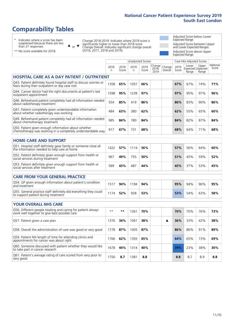Unadjusted Scores **Case Mix Adjusted Scores** 

### **Comparability Tables**

\* Indicates where a score has been suppressed because there are less than 21 responses.

 $\triangle$  or  $\nabla$ 

Change 2018-2019: Indicates where 2019 score is significantly higher or lower than 2018 score Change Overall: Indicates significant change overall (2016, 2017, 2018 and 2019).

Adjusted Score below Lower Expected Range Adjusted Score between Upper and Lower Expected Ranges Adjusted Score above Upper Expected Range

|                                                                                                                       | 2018<br>n | 2018<br>Score | 2019<br>n. | 2019<br>Score | Change<br>2018-<br>2019 | Change<br>Overall | 2019<br>Score | Lower<br>Range | Upper<br>Expected Expected<br>Range | National<br>Score |
|-----------------------------------------------------------------------------------------------------------------------|-----------|---------------|------------|---------------|-------------------------|-------------------|---------------|----------------|-------------------------------------|-------------------|
| <b>HOSPITAL CARE AS A DAY PATIENT / OUTPATIENT</b>                                                                    |           |               |            |               |                         |                   |               |                |                                     |                   |
| Q43. Patient definitely found hospital staff to discuss worries or<br>fears during their outpatient or day case visit | 1358      | 65%           | 1057       | 66%           |                         |                   | 67%           | 67%            | 74%                                 | 71%               |
| Q44. Cancer doctor had the right documents at patient's last<br>outpatient appointment                                | 1598      | 95%           | 1239       | 97%           |                         |                   | 97%           | 95%            | 97%                                 | 96%               |
| Q46. Beforehand patient completely had all information needed<br>about radiotherapy treatment                         | 554       | 85%           | 419        | 86%           |                         |                   | 86%           | 83%            | 90%                                 | 86%               |
| Q47. Patient completely given understandable information<br>about whether radiotherapy was working                    | 484       | 63%           | 380        | 62%           |                         |                   | 62%           | 55%            | 65%                                 | 60%               |
| Q49. Beforehand patient completely had all information needed<br>about chemotherapy treatment                         | 985       | 84%           | 780        | 84%           |                         |                   | 84%           | 82%            | 87%                                 | 84%               |
| Q50. Patient given enough information about whether<br>chemotherapy was working in a completely understandable way    | 917       | 67%           | 731        | 68%           |                         |                   | 68%           | 64%            | 71%                                 | 68%               |
| <b>HOME CARE AND SUPPORT</b>                                                                                          |           |               |            |               |                         |                   |               |                |                                     |                   |
| Q51. Hospital staff definitely gave family or someone close all<br>the information needed to help care at home        | 1422      | 57%           | 1114       | 56%           |                         |                   | 57%           | 56%            | 64%                                 | 60%               |
| Q52. Patient definitely given enough support from health or<br>social services during treatment                       | 967       | 49%           | 755        | 50%           |                         |                   | 51%           | 45%            | 59%                                 | 52%               |
| Q53. Patient definitely given enough support from health or<br>social services after treatment                        | 589       | 43%           | 487        | 44%           |                         |                   | 45%           | 37%            | 53%                                 | 45%               |
| <b>CARE FROM YOUR GENERAL PRACTICE</b>                                                                                |           |               |            |               |                         |                   |               |                |                                     |                   |
| Q54. GP given enough information about patient's condition<br>and treatment                                           | 1517      | 94%           | 1194       | 94%           |                         |                   | 95%           | 94%            | 96%                                 | 95%               |
| Q55. General practice staff definitely did everything they could<br>to support patient during treatment               | 1174      | 52%           | 928        | 53%           |                         |                   | 53%           | 54%            | 63%                                 | 58%               |
| <b>YOUR OVERALL NHS CARE</b>                                                                                          |           |               |            |               |                         |                   |               |                |                                     |                   |
| Q56. Different people treating and caring for patient always<br>work well together to give best possible care         | $* *$     | $***$         | 1361       | 70%           |                         |                   | 70%           | 70%            | 76%                                 | 73%               |
| Q57. Patient given a care plan                                                                                        | 1376      | 34%           | 1061       | 38%           |                         | ▲                 | 36%           | 33%            | 42%                                 | 38%               |
| Q58. Overall the administration of care was good or very good                                                         | 1778      | 87%           | 1405       | 87%           |                         |                   | 86%           | 86%            | 91%                                 | 89%               |
| Q59. Patient felt length of time for attending clinics and<br>appointments for cancer was about right                 | 1766      | 62%           | 1393       | 65%           |                         |                   | 64%           | 65%            | 73%                                 | 69%               |
| Q60. Someone discussed with patient whether they would like<br>to take part in cancer research                        | 1678      | 44%           | 1314       | 40%           |                         |                   | 39%           | 23%            | 38%                                 | 30%               |
| Q61. Patient's average rating of care scored from very poor to<br>very good                                           | 1750      | 8.7           | 1381       | 8.8           |                         |                   | 8.8           | 8.7            | 8.9                                 | 8.8               |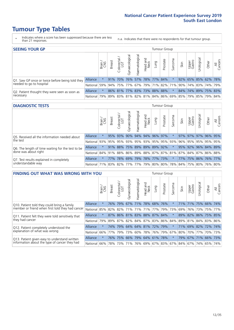### **Tumour Type Tables**

- \* Indicates where a score has been suppressed because there are less than 21 responses.
- n.a. Indicates that there were no respondents for that tumour group.

| <b>SEEING YOUR GP</b>                                      |                 |              |               |            |                   |                |                             |      | Tumour Group |         |      |                 |                                                     |       |                |
|------------------------------------------------------------|-----------------|--------------|---------------|------------|-------------------|----------------|-----------------------------|------|--------------|---------|------|-----------------|-----------------------------------------------------|-------|----------------|
|                                                            |                 | Brain<br>CNS | <b>Breast</b> | Colorectal | ত<br>Gynaecologic | Haematological | Head and<br>Neck            | Lung | Prostate     | Sarcoma | Skin | Upper<br>Gastro | $\sigma$<br>Jrologica                               | Other | All<br>Cancers |
| Q1. Saw GP once or twice before being told they            | <b>Alliance</b> |              |               | 91% 70%    |                   |                | 76% 57% 78% 77% 84%         |      |              |         |      |                 | 92% 65% 85% 62% 78%                                 |       |                |
| needed to go to hospital                                   | National        | 59%          |               |            |                   |                |                             |      |              |         |      |                 | 94% 75% 77% 67% 79% 71% 82% 71% 90% 74% 83% 74% 79% |       |                |
| Q2. Patient thought they were seen as soon as<br>necessary | <b>Alliance</b> |              |               |            |                   |                | 86% 81% 77% 83% 73% 88% 88% |      |              |         |      |                 | 84% 74% 89% 75% 83%                                 |       |                |
|                                                            | National        | 79%          |               |            |                   |                |                             |      |              |         |      |                 | 89% 83% 81% 82% 81% 84% 86% 69% 85% 79% 85% 79%     |       | 84%            |

#### **DIAGNOSTIC TESTS** Tumour Group

|                                                           |                                                                  | Brain   | <b>Breast</b> | Colorectal<br>LGT | ᄛ<br>Gynaecologic | $\sigma$<br>aematologic<br>Ĩ | Head and<br>Neck | Lung | Prostate | Sarcoma | Skin | Upper<br>Gastro | σ<br>Irologica | Other               | All<br>Cancers |
|-----------------------------------------------------------|------------------------------------------------------------------|---------|---------------|-------------------|-------------------|------------------------------|------------------|------|----------|---------|------|-----------------|----------------|---------------------|----------------|
| Q5. Received all the information needed about<br>the test | Alliance                                                         |         |               | 95% 93%           | 90%               |                              | 94% 94% 96% 97%  |      |          |         |      | 97% 97%         |                | 97% 96% 95%         |                |
|                                                           | National 93% 95% 95% 93% 95% 93% 95% 95% 93% 96% 95% 95% 95% 95% |         |               |                   |                   |                              |                  |      |          |         |      |                 |                |                     | 95%            |
| Q6. The length of time waiting for the test to be         | <b>Alliance</b>                                                  |         |               | $91\%$ 88%        |                   | 75% 89% 89% 89% 92%          |                  |      |          | $\star$ |      |                 |                | 95% 92% 96% 84% 89% |                |
| done was about right                                      | National 84% 91% 88% 86% 89% 88% 87% 87% 81% 87% 84% 87% 86% 88% |         |               |                   |                   |                              |                  |      |          |         |      |                 |                |                     |                |
| Q7. Test results explained in completely                  | <b>Alliance</b>                                                  | $\star$ | 77%           | 78%               |                   | 69% 79% 78% 77% 73%          |                  |      |          | $\star$ |      |                 |                | 77% 75% 86% 76% 77% |                |
| understandable way                                        | National 71% 83% 82% 77% 77% 79% 80% 80% 78% 84% 75% 80% 76% 80% |         |               |                   |                   |                              |                  |      |          |         |      |                 |                |                     |                |

| <b>FINDING OUT WHAT WAS WRONG WITH YOU</b>        |                 |         |                                 |                        |                |                   |                  |                 | <b>Tumour Group</b> |         |            |                 |                 |                 |                |
|---------------------------------------------------|-----------------|---------|---------------------------------|------------------------|----------------|-------------------|------------------|-----------------|---------------------|---------|------------|-----------------|-----------------|-----------------|----------------|
|                                                   |                 | Brain   | <b>Breast</b>                   | olorectal.<br>LGT<br>Û | Gynaecological | aematologica<br>Ĩ | Head and<br>Neck | Lung            | Prostate            | Sarcoma | Skin       | Upper<br>Gastro | Urological      | Other           | All<br>Cancers |
| Q10. Patient told they could bring a family       | <b>Alliance</b> | $\star$ | 76%                             | 79%                    | 67%            | 71%               | 78%              | 68%             | 76%                 | $\ast$  | <b>71%</b> | 171%            | 75%             | 66%             | 74%            |
| member or friend when first told they had cancer  | National        | 85%     | 82% 82%                         |                        | 71%            | 71%               | 71%              | 77% 79%         |                     | 73%     | 69%        | 76%             | 73%             | 75%             | 77%            |
| Q11. Patient felt they were told sensitively that | Alliance        | $\star$ |                                 |                        | 87% 86% 81%    |                   |                  | 83% 88% 87% 84% |                     | $\star$ |            | 89% 82%         | 86%             | 75% 85%         |                |
| they had cancer                                   | National        | 79%     | 89% 87% 82% 84% 87% 83% 86% 84% |                        |                |                   |                  |                 |                     |         |            |                 |                 | 89% 81% 84% 83% | 86%            |
| Q12. Patient completely understood the            | Alliance        | $\star$ | 74%                             | 79%                    |                |                   |                  | 64% 64% 81% 72% | 79%                 | $\ast$  | 71%        | 69%             | 82%             | 72%             | 174%           |
| explanation of what was wrong                     | National        | 66%     | 77%                             | 79%                    | 73%            |                   |                  | 60% 78% 76% 79% |                     | 67%     |            |                 | 80% 70% 77%     |                 | 70% 73%        |
| Q13. Patient given easy to understand written     | <b>Alliance</b> | $\star$ | 76%                             | 75%                    | 66%            | 79%               |                  | 64% 61% 78%     |                     | $\star$ | 79%        | 67%             | 171%            | 66%             | 73%            |
| information about the type of cancer they had     | National        | $66\%$  | 78%                             | 73%                    | 71%            |                   |                  | 76% 69% 67% 83% |                     |         |            |                 | 67% 84% 67% 74% | 65%             | 74%            |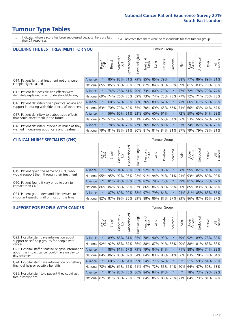### **Tumour Type Tables**

- \* Indicates where a score has been suppressed because there are less than 21 responses.
- n.a. Indicates that there were no respondents for that tumour group.

| <b>DECIDING THE BEST TREATMENT FOR YOU</b>         |                 |         |               |                             |                             |                       |                         |         | <b>Tumour Group</b> |         |                                         |                 |                 |             |                |
|----------------------------------------------------|-----------------|---------|---------------|-----------------------------|-----------------------------|-----------------------|-------------------------|---------|---------------------|---------|-----------------------------------------|-----------------|-----------------|-------------|----------------|
|                                                    |                 | Brain   | <b>Breast</b> | olorectal.<br>LGT<br>$\cup$ | Gynaecological              | <b>Haematological</b> | ead and<br>Neck<br>Head | Lung    | Prostate            | Sarcoma | Skin                                    | Upper<br>Gastro | Jrological      | Other       | All<br>Cancers |
| Q14. Patient felt that treatment options were      | Alliance        | $\star$ | 80%           | 83%                         | 71%                         | 79%                   |                         | 85% 85% | 79%                 | $\star$ | 88%                                     | 77%             |                 | 86% 89%     | 81%            |
| completely explained                               | National        | 85%     | 85%           | 85%                         | 85% 82% 87%                 |                       |                         |         | 84% 83%             | 83%     | 89%                                     | 81%             |                 | 83% 79% 83% |                |
| Q15. Patient felt possible side effects were       | <b>Alliance</b> | $\star$ | 74%           | 78%                         | 61%                         |                       | 70% 73%                 | 80% 73% |                     |         | 77%                                     | 72%             | 78%             | 79%         | 74%            |
| definitely explained in an understandable way      | National        | 69%     | 74%           | 76%                         | 75%                         |                       | 69% 73%                 |         | 74% 73%             | 73%     | 77%                                     | 72%             | 71%             | 70% 73%     |                |
| Q16. Patient definitely given practical advice and | <b>Alliance</b> | $\star$ |               | 68% 67%                     |                             | 56% 68% 76% 80% 67%   |                         |         |                     |         | 73%                                     |                 | 66% 67% 69% 68% |             |                |
| support in dealing with side effects of treatment  | National        | 63%     | 70%           | 70%                         | 69%                         |                       | 65% 70%                 |         | 69% 65%             | 66%     | 71%                                     |                 | 66% 63% 64% 67% |             |                |
| Q17. Patient definitely told about side effects    | Alliance        | $\star$ | 56%           | 60%                         |                             | 51% 53% 65% 60% 61%   |                         |         |                     | 大       | 72%                                     |                 | $50\%$ 65% 64%  |             | 58%            |
| that could affect them in the future               | National        | 62%     | 57%           | 59%                         |                             | 56% 51% 64%           |                         |         | 56% 66%             | 54%     | 66%                                     |                 | 53% 56% 52%     |             | 57%            |
| Q18. Patient definitely involved as much as they   | <b>Alliance</b> | $\star$ |               |                             | 78% 82% 72% 77% 76% 82% 80% |                       |                         |         |                     | $\star$ | 83%                                     | 74% 82% 82% 79% |                 |             |                |
| wanted in decisions about care and treatment       | National        | 79%     |               |                             |                             |                       |                         |         |                     |         | 81% 83% 81% 80% 81% 81% 84% 81% 87% 79% |                 |                 | 79% 78% 81% |                |

#### **CLINICAL NURSE SPECIALIST (CNS)** Tumour Group

|                                             |          | Brain   | <b>Breast</b>                                       | Colorectal<br>LGT | $\sigma$<br>Gynaecologic | $\overline{\sigma}$<br>Ü<br>aematologi | Head and<br>Neck            | Lung | Prostate | Sarcoma | Skin | Upper<br>Gastro | $\sigma$<br>rologica | Other                               | All<br>Cancers |
|---------------------------------------------|----------|---------|-----------------------------------------------------|-------------------|--------------------------|----------------------------------------|-----------------------------|------|----------|---------|------|-----------------|----------------------|-------------------------------------|----------------|
| Q19. Patient given the name of a CNS who    | Alliance | $\star$ | 95%                                                 | 94%               | 86%                      |                                        | 95% 92% 91% 86%             |      |          |         |      | 98% 95%         |                      | 82% 91%                             | 92%            |
| would support them through their treatment  | National |         | 95% 95% 92% 95% 92% 91% 94% 91% 91% 91% 93% 85% 89% |                   |                          |                                        |                             |      |          |         |      |                 |                      |                                     | 92%            |
| Q20. Patient found it very or quite easy to | Alliance | $\star$ |                                                     |                   |                          |                                        | 81% 86% 83% 85% 87% 78% 76% |      |          | $\star$ |      |                 |                      | 89% 81% 86% 78% 82%                 |                |
| contact their CNS                           | National |         | 86% 84% 88% 85% 87% 86% 86% 80% 86% 90% 85% 83% 83% |                   |                          |                                        |                             |      |          |         |      |                 |                      |                                     | 85%            |
| Q21. Patient got understandable answers to  | Alliance | $\star$ |                                                     | 87% 89%           | 90%                      |                                        | 88% 97% 79% 84%             |      |          | $\star$ |      |                 |                      | 94% 81% 85% 85% 86%                 |                |
| important questions all or most of the time | National |         | 82%   87%   89%   86%                               |                   |                          |                                        |                             |      |          |         |      |                 |                      | 89% 88% 86% 87% 87% 93% 86% 87% 86% | 87%            |

| <b>SUPPORT FOR PEOPLE WITH CANCER</b>                                                               |                 |         |               |                             |                                     |                |                        |                     | Tumour Group |              |      |                 |                 |         |                |
|-----------------------------------------------------------------------------------------------------|-----------------|---------|---------------|-----------------------------|-------------------------------------|----------------|------------------------|---------------------|--------------|--------------|------|-----------------|-----------------|---------|----------------|
|                                                                                                     |                 | Brain   | <b>Breast</b> | olorectal.<br>LGT<br>$\cup$ | $\overline{\sigma}$<br>Gynaecologic | Haematological | ad and<br>Neck<br>Head | Lung                | Prostate     | arcoma<br>ιñ | Skin | Upper<br>Gastro | Jrologica       | Other   | All<br>Cancers |
| Q22. Hospital staff gave information about<br>support or self-help groups for people with<br>cancer | Alliance        | $\star$ | 89%           | 88%                         | 81%                                 | 85%            | 78%                    | 90%                 | 93%          | $\ast$       | 79%  | 92%             | 89%             | 78%     | 88%            |
|                                                                                                     | National        | 92%     | 92%           | 88%                         |                                     | 87% 86%        |                        | 88% 87% 91%         |              | 86%          | 90%  |                 | 88% 81%         | 83% 88% |                |
| Q23. Hospital staff discussed or gave information<br>about the impact cancer could have on day to   | <b>Alliance</b> | $\star$ |               | 88% 81%                     | 67%                                 | 79%            | 79%                    | 84%                 | 84%          | $\star$      | 71%  | 88%             | 86%             | 74% 83% |                |
| day activities                                                                                      | National        | 84%     | 86%           | 85%                         |                                     | 82% 84%        |                        | 84% 83% 88%         |              | 81%          | 86%  |                 | 83% 78%         | 79% 84% |                |
| Q24. Hospital staff gave information on getting                                                     | <b>Alliance</b> | $\star$ |               | 68% 75%                     |                                     |                |                        | 64% 59% 54% 77%     | 62%          | $\star$      |      |                 | 51% 59%         | 54% 65% |                |
| financial help or possible benefits                                                                 | National        | 78%     | 68%           | 61%                         |                                     | 66% 61% 67%    |                        | 72%                 | 55%          | 64%          | 60%  | 64%             | 47%             |         | 59% 63%        |
| Q25. Hospital staff told patient they could get                                                     | Alliance        | $\star$ | 81%           | 83%                         |                                     |                |                        | 75% 86% 84% 84%     | 84%          | $\star$      |      | 78%             | 173%            | 79%     | 82%            |
| free prescriptions                                                                                  | National        | 82%     | 81%           | 83%                         |                                     |                |                        | 79% 87% 84% 86% 80% |              | 78%          | 71%  |                 | 84% 73% 81% 82% |         |                |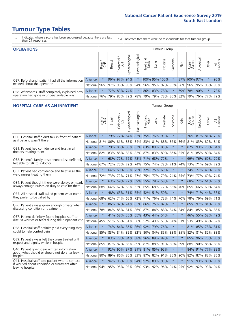### **Tumour Type Tables**

- \* Indicates where a score has been suppressed because there are less than 21 responses.
- n.a. Indicates that there were no respondents for that tumour group.

| <b>OPERATIONS</b>                                                                           |                                                  |         |               |                   |                |                |                     |             | Tumour Group                |         |      |                 |                      |             |                |
|---------------------------------------------------------------------------------------------|--------------------------------------------------|---------|---------------|-------------------|----------------|----------------|---------------------|-------------|-----------------------------|---------|------|-----------------|----------------------|-------------|----------------|
|                                                                                             |                                                  | Brain   | <b>Breast</b> | Colorectal<br>LGT | Gynaecological | Haematological | Head and<br>Neck    | <b>Gunn</b> | Prostate                    | Sarcoma | Skin | Upper<br>Gastro | $\sigma$<br>Urologic | Other       | All<br>Cancers |
| Q27. Beforehand, patient had all the information                                            | <b>Alliance</b>                                  |         |               | 96% 97%           | 94%            |                |                     |             | 100% 95% 100%               |         |      | 87% 100% 97%    |                      | $\star$     | 96%            |
| needed about the operation                                                                  | National 96% 97% 96% 96% 94% 96% 95% 97% 95% 96% |         |               |                   |                |                |                     |             |                             |         |      |                 |                      | 96% 95% 95% | 96%            |
| Q28. Afterwards, staff completely explained how<br>operation had gone in understandable way | <b>Alliance</b>                                  | $\star$ |               | 72% 83%           | 74%            | $\ast$         |                     |             | 86% 83% 78%                 |         | 69%  | 78% 90%         |                      | $\star$     | 78%            |
|                                                                                             | National 76%                                     |         |               |                   |                |                | 79% 83% 79% 78% 79% |             | 79%   78%   80%   82%   79% |         |      |                 |                      | 76%   77%   | 79%            |

#### **HOSPITAL CARE AS AN INPATIENT** Tumour Group

|                                                                                                  |              | Brain   | Breast | $\overline{\phantom{0}}$<br>Colorectal /<br>LGT | Gynaecological | Haematological              | Head and<br>Neck | Lung    | Prostate | Sarcoma | Skin    | Upper<br>Gastro | Urological                                          | Other       | All<br>Cancers |
|--------------------------------------------------------------------------------------------------|--------------|---------|--------|-------------------------------------------------|----------------|-----------------------------|------------------|---------|----------|---------|---------|-----------------|-----------------------------------------------------|-------------|----------------|
| Q30. Hospital staff didn't talk in front of patient                                              | Alliance     | $\star$ | 79%    | 77%                                             | 64%            | 83%                         |                  | 75% 76% | 93%      | $\star$ | $\star$ |                 | 76% 81% 81% 79%                                     |             |                |
| as if patient wasn't there                                                                       | National     | 81%     | 86%    | 81%                                             | 83%            | 84%                         | 83%              | 81%     | 88%      | 86%     | 86%     | 81%             | 83%                                                 | 82%         | 84%            |
| Q31. Patient had confidence and trust in all                                                     | Alliance     | $\star$ | 79%    | 86%                                             |                | 86% 82% 83% 89%             |                  |         | 85%      | $\star$ | $\star$ |                 | 82% 93% 78% 84%                                     |             |                |
| doctors treating them                                                                            | National     | 82%     |        |                                                 |                | 83% 85% 83% 82% 87% 83% 89% |                  |         |          | 86%     | 85%     |                 | 81% 85%                                             | 80% 84%     |                |
| Q32. Patient's family or someone close definitely                                                | Alliance     | $\star$ | 68%    | 72%                                             | 52%            | 73% 71% 68%                 |                  |         | 77%      | $\star$ | $\star$ |                 | 69% 76% 69% 70%                                     |             |                |
| felt able to talk to a doctor                                                                    | National     | 67%     | 72%    | 73%                                             | 72%            | 74%                         |                  | 75% 74% | 72%      | 71%     | 74%     |                 | 73% 71%                                             | 69%         | 72%            |
| Q33. Patient had confidence and trust in all the                                                 | Alliance     | $\star$ |        | 64% 69%                                         |                | 53% 75% 72% 75% 69%         |                  |         |          | $\star$ | $\star$ |                 | 74% 77% 49% 69%                                     |             |                |
| ward nurses treating them                                                                        | National     | 72%     | 73%    | 72%                                             |                | 71% 77%                     |                  | 75% 77% | 79%      | 74%     | 75%     |                 | 73% 77%                                             | 69%         | 74%            |
| Q34. Patient thought there were always or nearly                                                 | Alliance     | $\star$ | 63%    | 59%                                             | 72%            | 59%                         | 55%              | 78%     | 58%      | $\star$ | $\star$ | 68%             | 72%                                                 | 61%         | 63%            |
| always enough nurses on duty to care for them                                                    | National     | 68%     | 64%    | 62%                                             | 63%            | 63%                         |                  | 65% 68% | 72%      | 65%     | 70%     | 65%             | 66%                                                 | 60% 64%     |                |
| Q35. All hospital staff asked patient what name                                                  | Alliance     | $\star$ |        |                                                 |                | 48% 65% 51% 65% 52% 51% 50% |                  |         |          | $\star$ | $\star$ |                 | 74% 71% 44%                                         |             | 58%            |
| they prefer to be called by                                                                      | National     | 68%     | 62%    | 74%                                             | 65%            | 72%                         |                  | 71% 76% | 72%      | 74%     | 70%     | 78%             | 76%                                                 | 69% 71%     |                |
| Q36. Patient always given enough privacy when                                                    | Alliance     | $\star$ | 86%    | 82%                                             |                | 74% 83% 86% 76% 87%         |                  |         |          | $\ast$  | $\star$ | 85%             |                                                     | 97% 81% 85% |                |
| discussing condition or treatment                                                                | National     | 78%     | 84%    |                                                 |                | 85% 81% 86% 87% 84%         |                  |         | 88%      | 84%     | 84%     |                 | 84% 85% 82% 85%                                     |             |                |
| Q37. Patient definitely found hospital staff to                                                  | Alliance     | $\star$ | 41%    |                                                 |                | 58% 36% 55% 43%             |                  | 44%     | 54%      | $\star$ | $\star$ |                 | 46% 55% 52%                                         |             | 49%            |
| discuss worries or fears during their inpatient visit                                            | National     | 45%     |        |                                                 |                | 51% 55% 51% 56% 52% 49% 53% |                  |         |          | 54%     | 51%     |                 | 53% 49%                                             | 46% 52%     |                |
| Q38. Hospital staff definitely did everything they                                               | Alliance     | $\star$ |        |                                                 |                | 74% 84% 86% 86% 92% 79% 76% |                  |         |          | $\star$ | $\star$ |                 | 81% 85% 78% 81%                                     |             |                |
| could to help control pain                                                                       | National     | 85%     | 83%    | 84%                                             | 82%            | 82% 80% 84%                 |                  |         | 85%      | 83%     | 85%     | 82%             | 81%                                                 | 82% 83%     |                |
| Q39. Patient always felt they were treated with                                                  | Alliance     | $\star$ | 83%    |                                                 |                | 78% 84% 88% 96% 89% 89%     |                  |         |          | $\star$ | $\star$ |                 | 85% 96% 75% 86%                                     |             |                |
| respect and dignity while in hospital                                                            | National     | 85%     | 87%    |                                                 |                | 87% 85% 89% 87% 88% 91%     |                  |         |          | 89%     | 89%     | 88%             | 90%                                                 | 86% 88%     |                |
| Q40. Patient given clear written information<br>about what should or should not do after leaving | Alliance     | $\star$ | 92%    |                                                 |                | 90% 87% 81% 81% 85%         |                  |         | 92%      | $\star$ | $\star$ |                 | 84% 91% 77% 88%                                     |             |                |
| hospital                                                                                         | National     | 80%     | 89%    | 86%                                             | 86%            | 83% 87% 82%                 |                  |         | 91%      | 85%     | 90%     |                 | 82% 87%                                             | 83% 86%     |                |
| Q41. Hospital staff told patient who to contact<br>if worried about condition or treatment after | Alliance     | $\star$ | 94%    | 96%                                             |                | 90% 94% 92% 89% 93%         |                  |         |          | $\star$ | $\star$ |                 | 91% 93% 89% 93%                                     |             |                |
| leaving hospital                                                                                 | National 94% |         |        |                                                 |                |                             |                  |         |          |         |         |                 | 95% 95% 93% 96% 93% 92% 96% 94% 95% 92% 92% 93% 94% |             |                |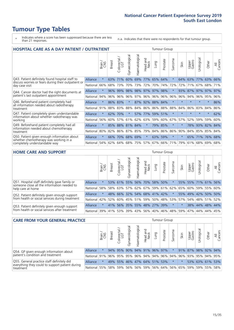# **Tumour Type Tables**

- \* Indicates where a score has been suppressed because there are less than 21 responses.
- n.a. Indicates that there were no respondents for that tumour group.

| <b>HOSPITAL CARE AS A DAY PATIENT / OUTPATIENT</b><br><b>Tumour Group</b>                              |          |               |               |                            |                 |                |                            |             |          |                  |         |                 |            |             |                |
|--------------------------------------------------------------------------------------------------------|----------|---------------|---------------|----------------------------|-----------------|----------------|----------------------------|-------------|----------|------------------|---------|-----------------|------------|-------------|----------------|
|                                                                                                        |          | Brain.<br>CNS | <b>Breast</b> | ー<br>olorectal<br>LGT<br>Ü | Gynaecological  | Haematological | and<br><b>Neck</b><br>Head | Lung        | Prostate | arcoma<br>$\sim$ | Skin    | Upper<br>Gastro | Jrological | Other       | All<br>Cancers |
| Q43. Patient definitely found hospital staff to<br>discuss worries or fears during their outpatient or | Alliance | $\star$       | 63%           | 71%                        | 60%             | 69%            | 77%                        | 65%         | 64%      | $\star$          | 64%     | 63%             | 77%        | 63%         | 66%            |
| day case visit                                                                                         | National | 66%           | 68%           | 73%                        | 70%             | 73%            | 72%                        | 70%         | 74%      | 72%              | 72%     | 71%             | 67%        | 68%         | 71%            |
| Q44. Cancer doctor had the right documents at                                                          | Alliance | $\star$       | 96%           | 99%                        | 98%             |                |                            | 98% 97% 97% | 98%      | $\star$          | 93%     | 87%             | 97%        | 97%         | 97%            |
| patient's last outpatient appointment                                                                  | National | 94%           | 96%           | 96%                        | 96%             | 97%            | 96%                        | 96%         | 96%      | 96%              | 96%     | 94%             | 96%        | 95%         | 96%            |
| Q46. Beforehand patient completely had                                                                 | Alliance | $\star$       |               | 86% 83%                    | $\star$         |                | 87% 92%                    | 88% 84%     |          | $\star$          |         | $\star$         | $\star$    | $\star$     | 86%            |
| all information needed about radiotherapy<br>treatment                                                 | National | 91%           | 88%           | 83%                        | 88%             | 84%            |                            | 86% 86%     | 88%      | 88%              | 84%     | 86%             | 83%        | 84%         | 86%            |
| Q47. Patient completely given understandable<br>information about whether radiotherapy was             | Alliance | $\star$       | 62%           | 70%                        |                 | 57%            | 77%                        | 59%         | 51%      | $\star$          |         |                 |            | $\ast$      | 62%            |
| working                                                                                                | National | 56%           | 60%           | 57%                        | 61%             | 62%            | 63%                        |             | 59% 60%  | 67%              | 57%     | 52%             | 59%        | 59%         | 60%            |
| Q49. Beforehand patient completely had all<br>information needed about chemotherapy                    | Alliance | $\star$       | 85%           |                            | 88% 81%         | 84%            | $\star$                    | 79%         | 85%      | $\star$          | $\star$ | 78%             | 93%        | 82%         | 84%            |
| treatment                                                                                              | National | 80%           | 82%           | 86%                        | 87%             | 85%            | 79%                        | 84%         | 86%      | 86%              | 90%     | 84%             |            | 85% 85%     | 84%            |
| Q50. Patient given enough information about                                                            | Alliance | $\star$       | 66%           | 70%                        | 68%             | 69%            | $\ast$                     |             | 63% 59%  | $\ast$           | $\star$ |                 |            | 65% 71% 76% | 68%            |
| whether chemotherapy was working in a<br>completely understandable way                                 | National | 54%           | 62%           |                            | 64%   68%   75% |                |                            | 57% 67% 66% |          | 71%              | 79%     | 61%             |            | 68% 69%     | 68%            |
|                                                                                                        |          |               |               |                            |                 |                |                            |             |          |                  |         |                 |            |             |                |

| <b>HOME CARE AND SUPPORT</b>                                                                 |              |          |               |                        |                             |                |                  |      | Tumour Group                            |         |      |                 |            |                 |                |
|----------------------------------------------------------------------------------------------|--------------|----------|---------------|------------------------|-----------------------------|----------------|------------------|------|-----------------------------------------|---------|------|-----------------|------------|-----------------|----------------|
|                                                                                              |              | Brain    | <b>Breast</b> | olorectal.<br>LGT<br>Û | Gynaecological              | Haematological | Head and<br>Neck | Lung | Prostate                                | Sarcoma | Skin | Upper<br>Gastro | Urological | Other           | All<br>Cancers |
| Q51. Hospital staff definitely gave family or<br>someone close all the information needed to | Alliance     |          |               |                        | 53% 61% 55% 56% 70%         |                |                  |      | 58% 50%                                 |         |      |                 |            | 55% 55% 71% 61% | 56%            |
| help care at home                                                                            | National     | 58%      |               |                        | 58% 63% 57% 62% 67%         |                |                  |      | 59% 61% 62%                             |         | 65%  | 60%             |            | 59% 55%         | 60%            |
| Q52. Patient definitely given enough support                                                 | Alliance     |          | 48%           | 66%                    | $32\%$                      |                | 54% 68% 41% 42%  |      |                                         |         |      |                 |            | 55% 49% 42% 50% | 50%            |
| from health or social services during treatment                                              | National     | $ 42\% $ |               |                        | 52% 60% 45% 51% 59%         |                |                  |      | 50% 48% 53%                             |         | 57%  |                 |            | 54% 48% 51%     | 52%            |
| Q53. Patient definitely given enough support                                                 | Alliance     |          |               |                        | 41% 56% 35% 55% 48% 27% 39% |                |                  |      |                                         | $\star$ |      |                 |            | 38% 44% 48% 44% |                |
| from health or social services after treatment                                               | National 39% |          |               |                        |                             |                |                  |      | 41%   53%   39%   43%   56%   40%   46% | 48%     | 59%  | 47%             |            | 44% 44%         | 45%            |

| <b>CARE FROM YOUR GENERAL PRACTICE</b>                                                        |                                                                  |        |               |                   |                |                |                  |      | <b>Tumour Group</b> |         |                                                     |                     |           |                 |                |  |  |  |  |  |  |
|-----------------------------------------------------------------------------------------------|------------------------------------------------------------------|--------|---------------|-------------------|----------------|----------------|------------------|------|---------------------|---------|-----------------------------------------------------|---------------------|-----------|-----------------|----------------|--|--|--|--|--|--|
|                                                                                               |                                                                  | Brain, | <b>Breast</b> | Colorectal<br>LGT | Gynaecological | Haematological | Head and<br>Neck | Lung | Prostate            | Sarcoma | Skin                                                | Upper<br>Gastro     | Jrologica | Other           | All<br>Cancers |  |  |  |  |  |  |
| Q54. GP given enough information about                                                        | <b>Alliance</b>                                                  |        |               | 94% 95%           |                |                |                  |      | 90% 94% 91% 96% 97% |         |                                                     | 91% 87% 98% 92% 94% |           |                 |                |  |  |  |  |  |  |
| patient's condition and treatment                                                             | National 91% 96% 95% 95% 96% 94% 94% 96% 94% 96% 93% 95% 94% 95% |        |               |                   |                |                |                  |      |                     |         |                                                     |                     |           |                 |                |  |  |  |  |  |  |
| Q55. General practice staff definitely did<br>everything they could to support patient during | <b>Alliance</b>                                                  |        |               | 49% 55%           |                |                |                  |      | 46% 47% 64% 51% 53% | $\star$ |                                                     |                     |           | 53% 63% 61% 53% |                |  |  |  |  |  |  |
| treatment                                                                                     | National 55%                                                     |        |               |                   |                |                |                  |      |                     |         | 58% 59% 56% 56% 59% 56% 64% 56% 65% 59% 59% 55% 58% |                     |           |                 |                |  |  |  |  |  |  |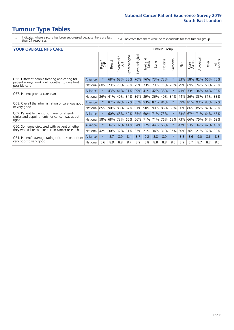### **Tumour Type Tables**

- \* Indicates where a score has been suppressed because there are less than 21 responses.
- n.a. Indicates that there were no respondents for that tumour group.

#### **YOUR OVERALL NHS CARE** THE CONSTRUCTION OF THE THROUP GROUP TUMOUR GROUP

|                                                                                                 |          | Brain   | <b>Breast</b> | olorectal<br>LGT<br>Û | Gynaecological | Haematological | ead and<br>Neck<br>Head | Lung    | Prostate | arcoma<br>$\sqrt{ }$ | Skin | Upper<br>Gastro     | $\overline{c}$<br>Urologia | Other           | All<br>Cancers |
|-------------------------------------------------------------------------------------------------|----------|---------|---------------|-----------------------|----------------|----------------|-------------------------|---------|----------|----------------------|------|---------------------|----------------------------|-----------------|----------------|
| Q56. Different people treating and caring for<br>patient always work well together to give best | Alliance | $\star$ | 68%           | 68%                   | 58%            | 70%            | 76%                     | 73%     | 73%      | $\ast$               | 83%  | 58%                 | 82%                        | 66%             | 70%            |
| possible care                                                                                   | National | 60%     |               | 73% 73%               | 69%            | 75%            | 73%                     | 73% 75% |          | 70%                  | 79%  | 69%                 | 74%                        | 68%             | 73%            |
| Q57. Patient given a care plan                                                                  | Alliance | $\star$ |               | 43% 41%               |                |                | 31% 29% 41% 42% 38%     |         |          | $\ast$               | 41%  | 33% 34%             |                            | 44% 38%         |                |
|                                                                                                 | National | 36%     | 41%           | 40%                   | 34%            | 36%            | 39%                     | 36%     | 40%      | 34%                  | 44%  | 36%                 | 33%                        | 31%             | 38%            |
| Q58. Overall the administration of care was good                                                | Alliance | $\star$ | 87%           | 89%                   |                | 77% 85% 93%    |                         | 87% 84% |          | $\ast$               | 89%  | 81% 93%             |                            | 88% 87%         |                |
| or very good                                                                                    | National | 85%     |               | 90% 88%               |                | 87% 91%        | $90\%$                  | 90% 88% |          | 88%                  | 90%  |                     |                            | 86% 85% 87% 89% |                |
| Q59. Patient felt length of time for attending<br>clinics and appointments for cancer was about | Alliance | $\star$ | $60\%$        |                       |                |                | 68% 60% 55% 60% 71% 73% |         |          | $\ast$               |      | 73% 67% 71% 64% 65% |                            |                 |                |
| right                                                                                           | National | 58%     | 68%           | 73%                   | 66%            | 66%            | 71%                     | 71%     | 76%      | 68%                  | 73%  | 66%                 | 75%                        | 64%             | 69%            |
| Q60. Someone discussed with patient whether                                                     | Alliance | $\star$ | 34%           | 32%                   |                | 41% 34% 32%    |                         | 44% 56% |          | $\star$              | 47%  | 53% 34%             |                            | 42%             | 40%            |
| they would like to take part in cancer research                                                 | National | 42%     | 30%           | 32%                   | 31%            | 33%            | 21%                     | 34%     | 31%      | 36%                  | 20%  | 36%                 | 21%                        | 32%             | 30%            |
| Q61. Patient's average rating of care scored from                                               | Alliance | $\star$ | 8.7           | 8.9                   | 8.4            | 8.7            | 9.2                     | 8.8     | 8.9      | $\star$              | 8.8  | 8.6                 | 9.0                        | 8.6             | 8.8            |
| very poor to very good                                                                          | National | 8.6     | 8.9           | 8.8                   | 8.7            | 8.9            | 8.8                     | 8.8     | 8.8      | 8.8                  | 8.9  | 8.7                 | 8.7                        | 8.7             | 8.8            |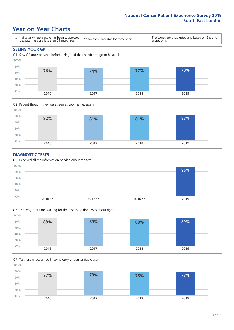### **Year on Year Charts**





#### **DIAGNOSTIC TESTS**





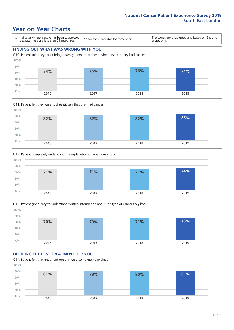### **Year on Year Charts**

\* Indicates where a score has been suppressed because there are less than 21 responses.

\*\* No score available for these years.

The scores are unadjusted and based on England scores only.

#### **FINDING OUT WHAT WAS WRONG WITH YOU** Q10. Patient told they could bring a family member or friend when first told they had cancer 0% 20% 40% 60% 80% 100% **2016 2017 2018 2019 74% 75% 76% 74%**







#### **DECIDING THE BEST TREATMENT FOR YOU** Q14. Patient felt that treatment options were completely explained 0% 20% 40% 60% 80% 100% **2016 2017 2018 2019 81% 79% 80% 81%**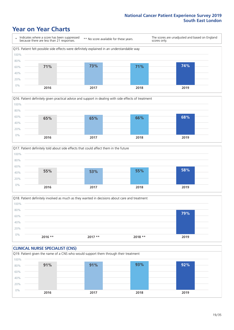### **Year on Year Charts**









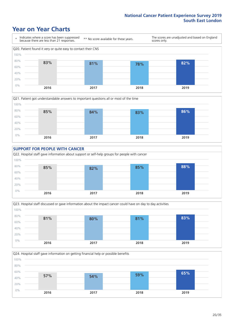### **Year on Year Charts**









Q24. Hospital staff gave information on getting financial help or possible benefits 0% 20% 40% 60% 80% 100% **2016 2017 2018 2019 57% 54% 59% 65%**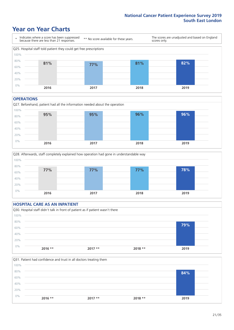### **Year on Year Charts**



#### **OPERATIONS**





#### **HOSPITAL CARE AS AN INPATIENT** Q30. Hospital staff didn't talk in front of patient as if patient wasn't there 0% 20% 40% 60% 80% 100% **2016 \*\* 2017 \*\* 2018 \*\* 2019 79%**

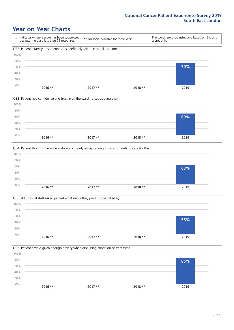### **Year on Year Charts**

|      | Indicates where a score has been suppressed<br>because there are less than 21 responses. | ** No score available for these years. | scores only. | The scores are unadjusted and based on England |
|------|------------------------------------------------------------------------------------------|----------------------------------------|--------------|------------------------------------------------|
|      | Q32. Patient's family or someone close definitely felt able to talk to a doctor          |                                        |              |                                                |
| 100% |                                                                                          |                                        |              |                                                |
| 80%  |                                                                                          |                                        |              |                                                |
| 60%  |                                                                                          |                                        |              | 70%                                            |
| 40%  |                                                                                          |                                        |              |                                                |
| 20%  |                                                                                          |                                        |              |                                                |
| 0%   | $2016$ **                                                                                | $2017**$                               | $2018**$     | 2019                                           |

|       |           | Q33. Patient had confidence and trust in all the ward nurses treating them |          |      |  |
|-------|-----------|----------------------------------------------------------------------------|----------|------|--|
| 100%  |           |                                                                            |          |      |  |
| 80%   |           |                                                                            |          |      |  |
| 60%   |           |                                                                            |          | 69%  |  |
| 40%   |           |                                                                            |          |      |  |
| 20%   |           |                                                                            |          |      |  |
| $0\%$ |           |                                                                            |          |      |  |
|       | $2016$ ** | $2017**$                                                                   | $2018**$ | 2019 |  |

| 63%  |
|------|
|      |
|      |
| 2019 |
|      |

Q35. All hospital staff asked patient what name they prefer to be called by 0% 20% 40% 60% 80% 100% **2016 \*\* 2017 \*\* 2018 \*\* 2019 58%**

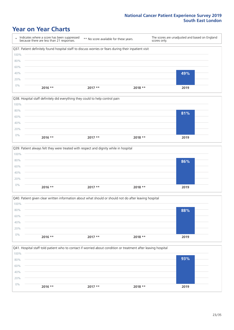### **Year on Year Charts**

\* Indicates where a score has been suppressed because there are less than 21 responses. \*\* No score available for these years. The scores are unadjusted and based on England scores only. Q37. Patient definitely found hospital staff to discuss worries or fears during their inpatient visit 0% 20% 40% 60% 80% 100% **2016 \*\* 2017 \*\* 2018 \*\* 2019 49%**



|       |           | Q39. Patient always felt they were treated with respect and dignity while in hospital |          |      |
|-------|-----------|---------------------------------------------------------------------------------------|----------|------|
| 100%  |           |                                                                                       |          |      |
| 80%   |           |                                                                                       |          | 86%  |
| 60%   |           |                                                                                       |          |      |
| 40%   |           |                                                                                       |          |      |
| 20%   |           |                                                                                       |          |      |
| $0\%$ | $2016$ ** | $2017**$                                                                              | $2018**$ | 2019 |
|       |           |                                                                                       |          |      |

|       |           | Q40. Patient given clear written information about what should or should not do after leaving hospital |          |      |
|-------|-----------|--------------------------------------------------------------------------------------------------------|----------|------|
| 100%  |           |                                                                                                        |          |      |
| 80%   |           |                                                                                                        |          | 88%  |
| 60%   |           |                                                                                                        |          |      |
| 40%   |           |                                                                                                        |          |      |
| 20%   |           |                                                                                                        |          |      |
| $0\%$ | $2016$ ** | $2017**$                                                                                               | $2018**$ | 2019 |
|       |           |                                                                                                        |          |      |

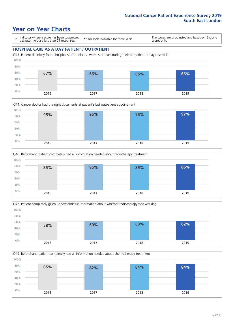### **Year on Year Charts**

\* Indicates where a score has been suppressed because there are less than 21 responses.

\*\* No score available for these years.

The scores are unadjusted and based on England scores only.

#### **HOSPITAL CARE AS A DAY PATIENT / OUTPATIENT**









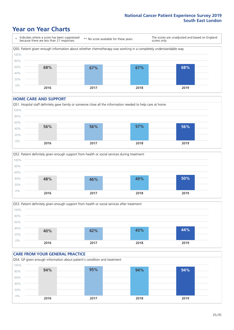### **Year on Year Charts**

\* Indicates where a score has been suppressed because there are less than 21 responses. \*\* No score available for these years. The scores are unadjusted and based on England scores only. Q50. Patient given enough information about whether chemotherapy was working in a completely understandable way 0% 20% 40% 60% 80% 100% **2016 2017 2018 2019 68% 67% 67% 68%**

#### **HOME CARE AND SUPPORT**







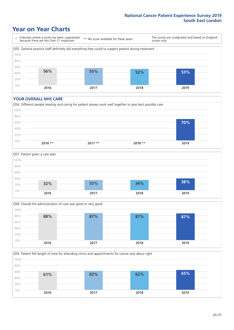### **Year on Year Charts**

\* Indicates where a score has been suppressed because there are less than 21 responses. \*\* No score available for these years. The scores are unadjusted and based on England scores only. Q55. General practice staff definitely did everything they could to support patient during treatment 0% 20% 40% 60% 80% 100% **2016 2017 2018 2019 56% 55% 52% 53%**

#### **YOUR OVERALL NHS CARE**





![](_page_25_Figure_6.jpeg)

![](_page_25_Figure_7.jpeg)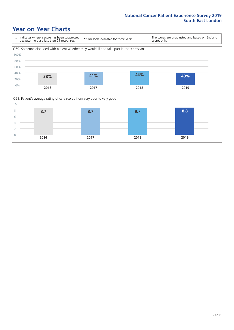### **Year on Year Charts**

![](_page_26_Figure_2.jpeg)

![](_page_26_Figure_3.jpeg)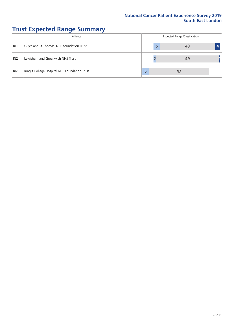# **Trust Expected Range Summary**

|                 | Alliance                                     | <b>Expected Range Classification</b> |  |  |  |  |  |  |
|-----------------|----------------------------------------------|--------------------------------------|--|--|--|--|--|--|
| RJ1             | Guy's and St Thomas' NHS foundation Trust    |                                      |  |  |  |  |  |  |
| RJ <sub>2</sub> | Lewisham and Greenwich NHS Trust             |                                      |  |  |  |  |  |  |
| <b>RJZ</b>      | King's College Hospital NHS Foundation Trust |                                      |  |  |  |  |  |  |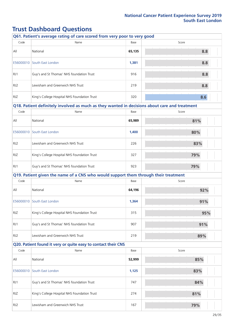### **Trust Dashboard Questions**

|                 | Q61. Patient's average rating of care scored from very poor to very good                      |        |       |  |
|-----------------|-----------------------------------------------------------------------------------------------|--------|-------|--|
| Code            | Name                                                                                          | Base   | Score |  |
| All             | National                                                                                      | 65,135 | 8.8   |  |
|                 | E56000010 South East London                                                                   | 1,381  | 8.8   |  |
| RJ1             | Guy's and St Thomas' NHS foundation Trust                                                     | 916    | 8.8   |  |
| RJ <sub>2</sub> | Lewisham and Greenwich NHS Trust                                                              | 219    | 8.8   |  |
| <b>RJZ</b>      | King's College Hospital NHS Foundation Trust                                                  | 320    | 8.6   |  |
|                 | Q18. Patient definitely involved as much as they wanted in decisions about care and treatment |        |       |  |
| Code            | Name                                                                                          | Base   | Score |  |
| All             | National                                                                                      | 65,989 | 81%   |  |
|                 | E56000010 South East London                                                                   | 1,400  | 80%   |  |
| RJ <sub>2</sub> | Lewisham and Greenwich NHS Trust                                                              | 226    | 83%   |  |
| RJZ             | King's College Hospital NHS Foundation Trust                                                  | 327    | 79%   |  |
| RJ1             | Guy's and St Thomas' NHS foundation Trust                                                     | 923    | 79%   |  |
|                 | Q19. Patient given the name of a CNS who would support them through their treatment           |        |       |  |
| Code            | Name                                                                                          | Base   | Score |  |
| All             | National                                                                                      | 64,196 | 92%   |  |
|                 | E56000010 South East London                                                                   | 1,364  | 91%   |  |
| <b>RJZ</b>      | King's College Hospital NHS Foundation Trust                                                  | 315    | 95%   |  |
| RJ1             | Guy's and St Thomas' NHS foundation Trust                                                     | 907    | 91%   |  |
| RJ <sub>2</sub> | Lewisham and Greenwich NHS Trust                                                              | 219    | 89%   |  |
|                 | Q20. Patient found it very or quite easy to contact their CNS                                 |        |       |  |
| Code            | Name                                                                                          | Base   | Score |  |
| All             | National                                                                                      | 52,999 | 85%   |  |
| E56000010       | South East London                                                                             | 1,125  | 83%   |  |
| RJ1             | Guy's and St Thomas' NHS foundation Trust                                                     | 747    | 84%   |  |
| RJZ             | King's College Hospital NHS Foundation Trust                                                  | 274    | 81%   |  |
| RJ <sub>2</sub> | Lewisham and Greenwich NHS Trust                                                              | 167    | 79%   |  |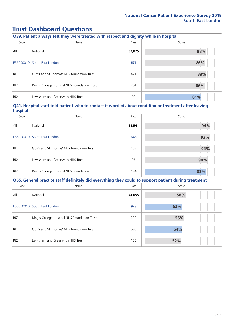### **Trust Dashboard Questions**

| Q39. Patient always felt they were treated with respect and dignity while in hospital |                                              |        |       |
|---------------------------------------------------------------------------------------|----------------------------------------------|--------|-------|
| Code                                                                                  | Name                                         | Base   | Score |
| All                                                                                   | National                                     | 32,875 | 88%   |
| E56000010                                                                             | South East London                            | 671    | 86%   |
| RJ1                                                                                   | Guy's and St Thomas' NHS foundation Trust    | 471    | 88%   |
| <b>RJZ</b>                                                                            | King's College Hospital NHS Foundation Trust | 201    | 86%   |
| RJ2                                                                                   | Lewisham and Greenwich NHS Trust             | 99     | 81%   |

#### **Q41. Hospital staff told patient who to contact if worried about condition or treatment after leaving hospital**

| $1000$ promi |                                              |        |       |
|--------------|----------------------------------------------|--------|-------|
| Code         | Name                                         | Base   | Score |
| All          | National                                     | 31,541 | 94%   |
|              | E56000010 South East London                  | 648    | 93%   |
| RJ1          | Guy's and St Thomas' NHS foundation Trust    | 453    | 94%   |
| RJ2          | Lewisham and Greenwich NHS Trust             | 96     | 90%   |
| RJZ.         | King's College Hospital NHS Foundation Trust | 194    | 88%   |

| Q55. General practice staff definitely did everything they could to support patient during treatment |                                              |        |       |  |
|------------------------------------------------------------------------------------------------------|----------------------------------------------|--------|-------|--|
| Code                                                                                                 | Name                                         | Base   | Score |  |
| All                                                                                                  | National                                     | 44,055 | 58%   |  |
| E56000010                                                                                            | South East London                            | 928    | 53%   |  |
| <b>RJZ</b>                                                                                           | King's College Hospital NHS Foundation Trust | 220    | 56%   |  |
| RJ1                                                                                                  | Guy's and St Thomas' NHS foundation Trust    | 596    | 54%   |  |
| RJ <sub>2</sub>                                                                                      | Lewisham and Greenwich NHS Trust             | 156    | 52%   |  |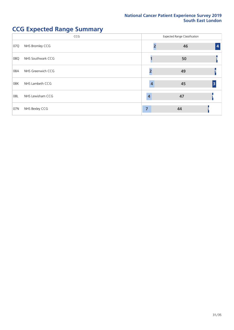# **CCG Expected Range Summary**

|     | CCG               |   | <b>Expected Range Classification</b> |                         |
|-----|-------------------|---|--------------------------------------|-------------------------|
| 07Q | NHS Bromley CCG   |   | 46                                   | $\overline{\mathbf{4}}$ |
| 08Q | NHS Southwark CCG |   | 50                                   |                         |
| 08A | NHS Greenwich CCG |   | 49                                   |                         |
| 08K | NHS Lambeth CCG   |   | 45                                   | 3                       |
| 08L | NHS Lewisham CCG  | 4 | 47                                   |                         |
| 07N | NHS Bexley CCG    | 7 | 44                                   |                         |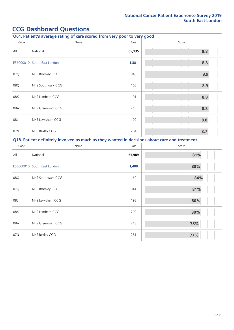# **CCG Dashboard Questions**

| Q61. Patient's average rating of care scored from very poor to very good                      |                   |        |       |
|-----------------------------------------------------------------------------------------------|-------------------|--------|-------|
| Code                                                                                          | Name              | Base   | Score |
| All                                                                                           | National          | 65,135 | 8.8   |
| E56000010                                                                                     | South East London | 1,381  | 8.8   |
| 07Q                                                                                           | NHS Bromley CCG   | 340    | 8.9   |
| 08Q                                                                                           | NHS Southwark CCG | 163    | 8.9   |
| 08K                                                                                           | NHS Lambeth CCG   | 191    | 8.8   |
| 08A                                                                                           | NHS Greenwich CCG | 213    | 8.8   |
| 08L                                                                                           | NHS Lewisham CCG  | 190    | 8.8   |
| 07N                                                                                           | NHS Bexley CCG    | 284    | 8.7   |
| Q18. Patient definitely involved as much as they wanted in decisions about care and treatment |                   |        |       |

| Code      | Name              | Base   | Score |
|-----------|-------------------|--------|-------|
| All       | National          | 65,989 | 81%   |
| E56000010 | South East London | 1,400  | 80%   |
| 08Q       | NHS Southwark CCG | 162    | 84%   |
| 07Q       | NHS Bromley CCG   | 341    | 81%   |
| 08L       | NHS Lewisham CCG  | 198    | 80%   |
| 08K       | NHS Lambeth CCG   | 200    | 80%   |
| 08A       | NHS Greenwich CCG | 218    | 78%   |
| 07N       | NHS Bexley CCG    | 281    | 77%   |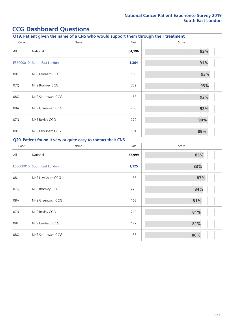# **CCG Dashboard Questions**

| Q19. Patient given the name of a CNS who would support them through their treatment |                                                               |        |       |  |
|-------------------------------------------------------------------------------------|---------------------------------------------------------------|--------|-------|--|
| Code                                                                                | Name                                                          | Base   | Score |  |
| All                                                                                 | National                                                      | 64,196 | 92%   |  |
| E56000010                                                                           | South East London                                             | 1,364  | 91%   |  |
| 08K                                                                                 | NHS Lambeth CCG                                               | 196    | 93%   |  |
| 07Q                                                                                 | NHS Bromley CCG                                               | 332    | 93%   |  |
| 08Q                                                                                 | NHS Southwark CCG                                             | 158    | 92%   |  |
| 08A                                                                                 | NHS Greenwich CCG                                             | 208    | 92%   |  |
| 07N                                                                                 | NHS Bexley CCG                                                | 279    | 90%   |  |
| 08L                                                                                 | NHS Lewisham CCG                                              | 191    | 89%   |  |
|                                                                                     | Q20. Patient found it very or quite easy to contact their CNS |        |       |  |
| Code                                                                                | Name                                                          | Base   | Score |  |
| All                                                                                 | National                                                      | 52,999 | 85%   |  |
|                                                                                     | E56000010 South East London                                   | 1,125  | 83%   |  |
| 08L                                                                                 | NHS Lewisham CCG                                              | 158    | 87%   |  |
| 07Q                                                                                 | NHS Bromley CCG                                               | 273    | 84%   |  |
| 08A                                                                                 | NHS Greenwich CCG                                             | 168    | 81%   |  |
| 07N                                                                                 | NHS Bexley CCG                                                | 219    | 81%   |  |
| 08K                                                                                 | NHS Lambeth CCG                                               | 172    | 81%   |  |
| 08Q                                                                                 | NHS Southwark CCG                                             | 135    | 80%   |  |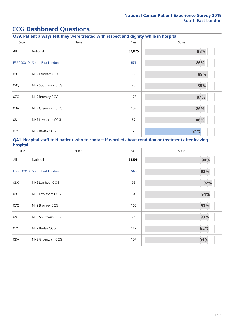### **CCG Dashboard Questions**

| Q39. Patient always felt they were treated with respect and dignity while in hospital |                   |        |       |
|---------------------------------------------------------------------------------------|-------------------|--------|-------|
| Code                                                                                  | Name              | Base   | Score |
| All                                                                                   | National          | 32,875 | 88%   |
| E56000010                                                                             | South East London | 671    | 86%   |
| 08K                                                                                   | NHS Lambeth CCG   | 99     | 89%   |
| 08Q                                                                                   | NHS Southwark CCG | 80     | 88%   |
| 07Q                                                                                   | NHS Bromley CCG   | 173    | 87%   |
| 08A                                                                                   | NHS Greenwich CCG | 109    | 86%   |
| 08L                                                                                   | NHS Lewisham CCG  | 87     | 86%   |
| 07N                                                                                   | NHS Bexley CCG    | 123    | 81%   |

#### **Q41. Hospital staff told patient who to contact if worried about condition or treatment after leaving hospital**

| Code      | Name              | Base   | Score |
|-----------|-------------------|--------|-------|
| All       | National          | 31,541 | 94%   |
| E56000010 | South East London | 648    | 93%   |
| 08K       | NHS Lambeth CCG   | 95     | 97%   |
| 08L       | NHS Lewisham CCG  | 84     | 94%   |
| 07Q       | NHS Bromley CCG   | 165    | 93%   |
| 08Q       | NHS Southwark CCG | 78     | 93%   |
| 07N       | NHS Bexley CCG    | 119    | 92%   |
| 08A       | NHS Greenwich CCG | 107    | 91%   |